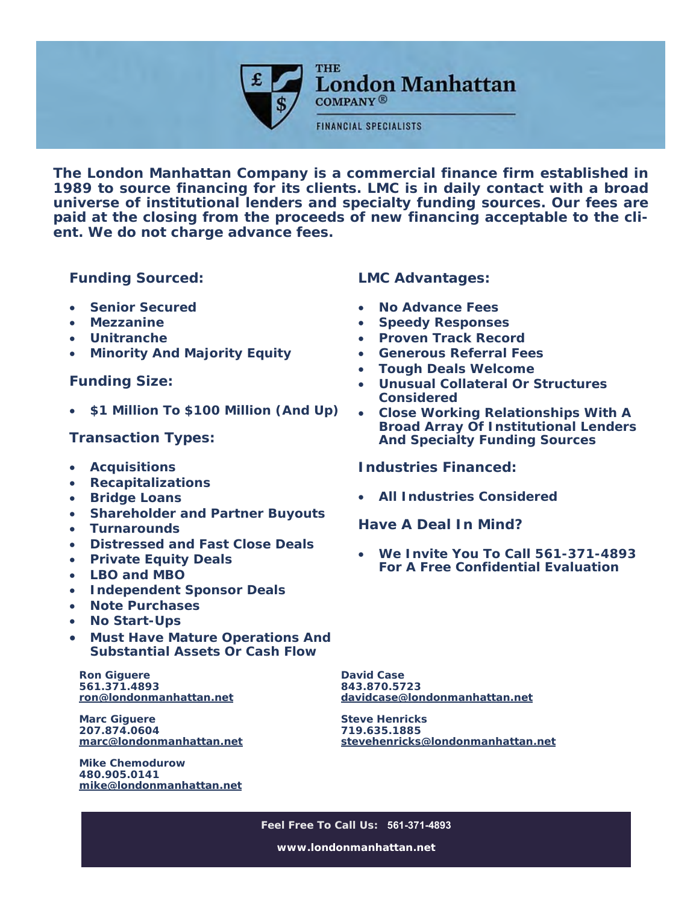

THE **London Manhattan** 

**COMPANY®** 

**FINANCIAL SPECIALISTS** 

**The London Manhattan Company is a commercial finance firm established in 1989 to source financing for its clients. LMC is in daily contact with a broad universe of institutional lenders and specialty funding sources. Our fees are paid at the closing from the proceeds of new financing acceptable to the client. We do not charge advance fees.** 

**Funding Sourced:** 

- **Senior Secured**
- **Mezzanine**
- **Unitranche**
- **Minority And Majority Equity**

**Funding Size:** 

**\$1 Million To \$100 Million (And Up)** 

## **Transaction Types:**

- **Acquisitions**
- **Recapitalizations**
- **Bridge Loans**
- **Shareholder and Partner Buyouts**
- **Turnarounds**
- **Distressed and Fast Close Deals**
- **Private Equity Deals**
- **LBO and MBO**
- **Independent Sponsor Deals**
- **Note Purchases**
- **No Start-Ups**
- **Must Have Mature Operations And Substantial Assets Or Cash Flow**

**Ron Giguere 561.371.4893 ron@londonmanhattan.net**

**Marc Giguere 207.874.0604 marc@londonmanhattan.net**

**Mike Chemodurow 480.905.0141 mike@londonmanhattan.net** **LMC Advantages:** 

- **No Advance Fees**
- **Speedy Responses**
- **Proven Track Record**
- **Generous Referral Fees**
- **Tough Deals Welcome**
- **Unusual Collateral Or Structures Considered**
- **Close Working Relationships With A Broad Array Of Institutional Lenders And Specialty Funding Sources**

**Industries Financed:** 

**All Industries Considered** 

**Have A Deal In Mind?** 

 **We Invite You To Call 561-371-4893 For A Free Confidential Evaluation** 

**David Case 843.870.5723 davidcase@londonmanhattan.net**

**Steve Henricks 719.635.1885 stevehenricks@londonmanhattan.net**

**Feel Free To Call Us: 561-371-4893 www.londonmanhattan.net**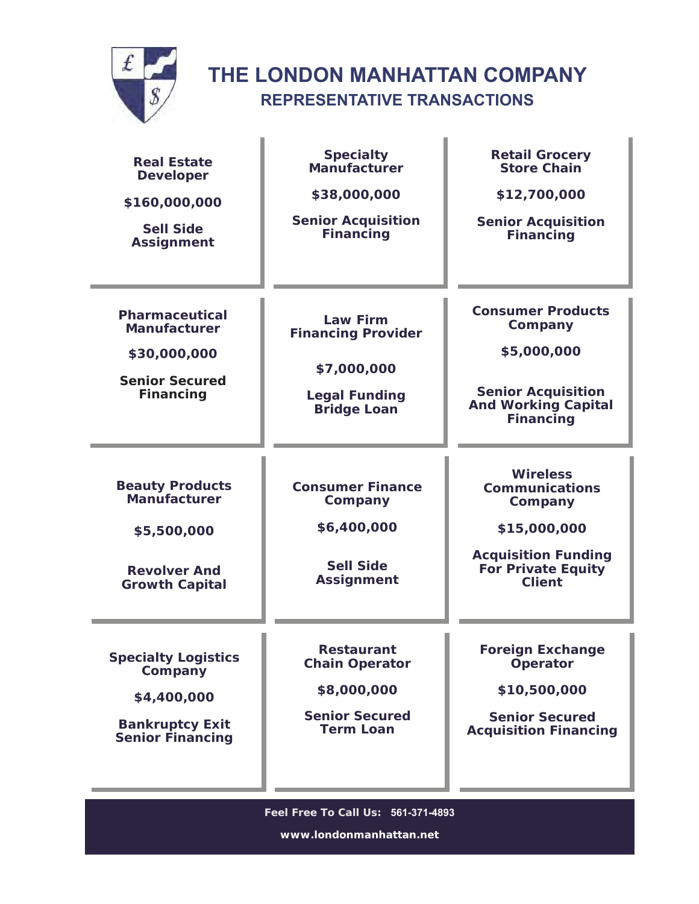

## **THE LONDON MANHATTAN COMPANY REPRESENTATIVE TRANSACTIONS**

| <b>Real Estate</b><br><b>Developer</b><br>\$160,000,000<br><b>Sell Side</b><br><b>Assignment</b>          | <b>Specialty</b><br>Manufacturer<br>\$38,000,000<br><b>Senior Acquisition</b><br><b>Financing</b>         | <b>Retail Grocery</b><br><b>Store Chain</b><br>\$12,700,000<br><b>Senior Acquisition</b><br><b>Financing</b>                                    |  |
|-----------------------------------------------------------------------------------------------------------|-----------------------------------------------------------------------------------------------------------|-------------------------------------------------------------------------------------------------------------------------------------------------|--|
| <b>Pharmaceutical</b><br><b>Manufacturer</b><br>\$30,000,000<br><b>Senior Secured</b><br><b>Financing</b> | <b>Law Firm</b><br><b>Financing Provider</b><br>\$7,000,000<br><b>Legal Funding</b><br><b>Bridge Loan</b> | <b>Consumer Products</b><br>Company<br>\$5,000,000<br><b>Senior Acquisition</b><br><b>And Working Capital</b><br><b>Financing</b>               |  |
| <b>Beauty Products</b><br>Manufacturer<br>\$5,500,000<br><b>Revolver And</b><br><b>Growth Capital</b>     | <b>Consumer Finance</b><br>Company<br>\$6,400,000<br><b>Sell Side</b><br><b>Assignment</b>                | <b>Wireless</b><br><b>Communications</b><br>Company<br>\$15,000,000<br><b>Acquisition Funding</b><br><b>For Private Equity</b><br><b>Client</b> |  |
| <b>Specialty Logistics</b><br>Company<br>\$4,400,000<br><b>Bankruptcy Exit</b><br><b>Senior Financing</b> | Restaurant<br><b>Chain Operator</b><br>\$8,000,000<br><b>Senior Secured</b><br><b>Term Loan</b>           | <b>Foreign Exchange</b><br>Operator<br>\$10,500,000<br><b>Senior Secured</b><br><b>Acquisition Financing</b>                                    |  |
| Feel Free To Call Us: 561-371-4893<br>www.londonmanhattan.net                                             |                                                                                                           |                                                                                                                                                 |  |